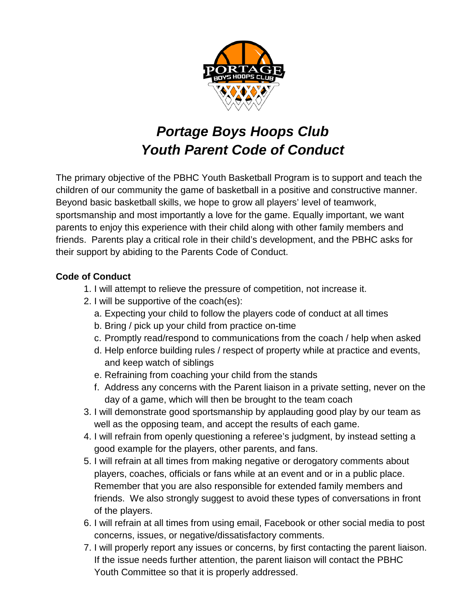

## *Portage Boys Hoops Club Youth Parent Code of Conduct*

The primary objective of the PBHC Youth Basketball Program is to support and teach the children of our community the game of basketball in a positive and constructive manner. Beyond basic basketball skills, we hope to grow all players' level of teamwork, sportsmanship and most importantly a love for the game. Equally important, we want parents to enjoy this experience with their child along with other family members and friends. Parents play a critical role in their child's development, and the PBHC asks for their support by abiding to the Parents Code of Conduct.

## **Code of Conduct**

- 1. I will attempt to relieve the pressure of competition, not increase it.
- 2. I will be supportive of the coach(es):
	- a. Expecting your child to follow the players code of conduct at all times
	- b. Bring / pick up your child from practice on-time
	- c. Promptly read/respond to communications from the coach / help when asked
	- d. Help enforce building rules / respect of property while at practice and events, and keep watch of siblings
	- e. Refraining from coaching your child from the stands
	- f. Address any concerns with the Parent liaison in a private setting, never on the day of a game, which will then be brought to the team coach
- 3. I will demonstrate good sportsmanship by applauding good play by our team as well as the opposing team, and accept the results of each game.
- 4. I will refrain from openly questioning a referee's judgment, by instead setting a good example for the players, other parents, and fans.
- 5. I will refrain at all times from making negative or derogatory comments about players, coaches, officials or fans while at an event and or in a public place. Remember that you are also responsible for extended family members and friends. We also strongly suggest to avoid these types of conversations in front of the players.
- 6. I will refrain at all times from using email, Facebook or other social media to post concerns, issues, or negative/dissatisfactory comments.
- 7. I will properly report any issues or concerns, by first contacting the parent liaison. If the issue needs further attention, the parent liaison will contact the PBHC Youth Committee so that it is properly addressed.